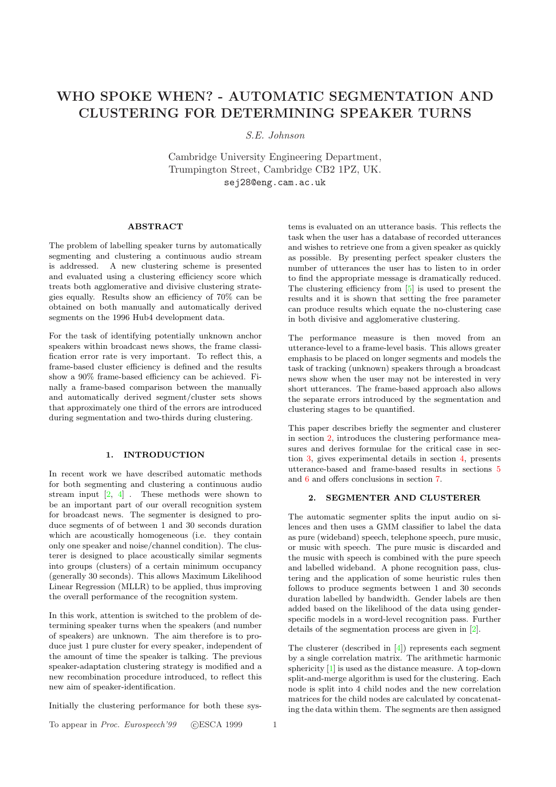# <span id="page-0-0"></span>WHO SPOKE WHEN? - AUTOMATIC SEGMENTATION AND CLUSTERING FOR DETERMINING SPEAKER TURNS

# S.E. Johnson

Cambridge University Engineering Department, Trumpington Street, Cambridge CB2 1PZ, UK. sej28@eng.cam.ac.uk

## ABSTRACT

The problem of labelling speaker turns by automatically segmenting and clustering a continuous audio stream is addressed. A new clustering scheme is presented and evaluated using a clustering efficiency score which treats both agglomerative and divisive clustering strategies equally. Results show an efficiency of 70% can be obtained on both manually and automatically derived segments on the 1996 Hub4 development data.

For the task of identifying potentially unknown anchor speakers within broadcast news shows, the frame classification error rate is very important. To reflect this, a frame-based cluster efficiency is defined and the results show a 90% frame-based efficiency can be achieved. Finally a frame-based comparison between the manually and automatically derived segment/cluster sets shows that approximately one third of the errors are introduced during segmentation and two-thirds during clustering.

#### 1. INTRODUCTION

In recent work we have described automatic methods for both segmenting and clustering a continuous audio stream input  $\begin{bmatrix} 2, 4 \end{bmatrix}$ . These methods were shown to be an important part of our overall recognition system for broadcast news. The segmenter is designed to produce segments of of between 1 and 30 seconds duration which are acoustically homogeneous (i.e. they contain only one speak[er](#page-3-0) [and](#page-3-0) noise/channel condition). The clusterer is designed to place acoustically similar segments into groups (clusters) of a certain minimum occupancy (generally 30 seconds). This allows Maximum Likelihood Linear Regression (MLLR) to be applied, thus improving the overall performance of the recognition system.

In this work, attention is switched to the problem of determining speaker turns when the speakers (and number of speakers) are unknown. The aim therefore is to produce just 1 pure cluster for every speaker, independent of the amount of time the speaker is talking. The previous speaker-adaptation clustering strategy is modified and a new recombination procedure introduced, to reflect this new aim of speaker-identification.

Initially the clustering performance for both these sys-

To appear in Proc. Eurospeech'99 (CESCA 1999 1

tems is evaluated on an utterance basis. This reflects the task when the user has a database of recorded utterances and wishes to retrieve one from a given speaker as quickly as possible. By presenting perfect speaker clusters the number of utterances the user has to listen to in order to find the appropriate message is dramatically reduced. The clustering efficiency from [5] is used to present the results and it is shown that setting the free parameter can produce results which equate the no-clustering case in both divisive and agglomerative clustering.

The performance measure is [t](#page-3-0)hen moved from an utterance-level to a frame-level basis. This allows greater emphasis to be placed on longer segments and models the task of tracking (unknown) speakers through a broadcast news show when the user may not be interested in very short utterances. The frame-based approach also allows the separate errors introduced by the segmentation and clustering stages to be quantified.

This paper describes briefly the segmenter and clusterer in section 2, introduces the clustering performance measures and derives formulae for the critical case in section 3, gives experimental details in section 4, presents utterance-based and frame-based results in sections 5 and 6 and offers conclusions in section 7.

#### [2](#page-1-0). SEGMENTER AND CLUST[ER](#page-1-0)ER

The automatic segmenter splits the input audio on [si](#page-2-0)lenc[es](#page-2-0) and then uses a GMM classifier [to](#page-3-0) label the data as pure (wideband) speech, telephone speech, pure music, or music with speech. The pure music is discarded and the music with speech is combined with the pure speech and labelled wideband. A phone recognition pass, clustering and the application of some heuristic rules then follows to produce segments between 1 and 30 seconds duration labelled by bandwidth. Gender labels are then added based on the likelihood of the data using genderspecific models in a word-level recognition pass. Further details of the segmentation process are given in [2].

The clusterer (described in [4]) represents each segment by a single correlation matrix. The arithmetic harmonic sphericity [1] is used as the distance measure. A top-down split-and-merge algorithm is used for the clusteri[ng.](#page-3-0) Each node is split into 4 child no[de](#page-3-0)s and the new correlation matrices for the child nodes are calculated by concatenating the dat[a w](#page-3-0)ithin them. The segments are then assigned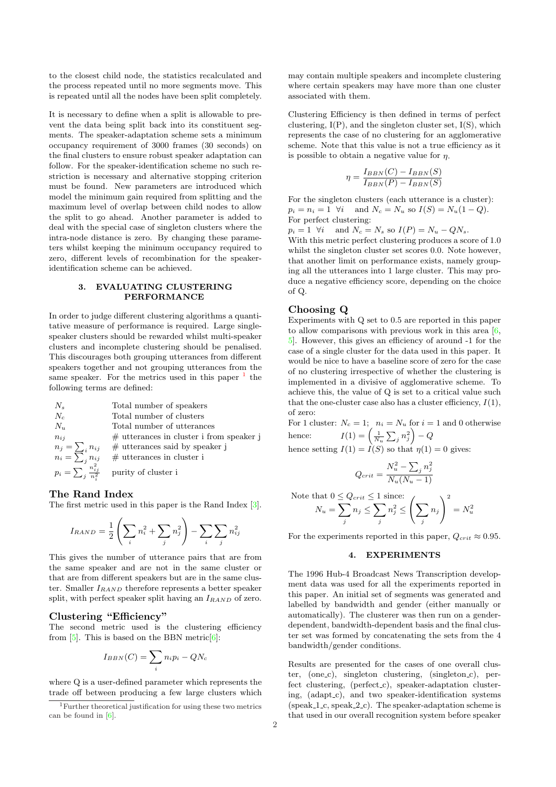<span id="page-1-0"></span>to the closest child node, the statistics recalculated and the process repeated until no more segments move. This is repeated until all the nodes have been split completely.

It is necessary to define when a split is allowable to prevent the data being split back into its constituent segments. The speaker-adaptation scheme sets a minimum occupancy requirement of 3000 frames (30 seconds) on the final clusters to ensure robust speaker adaptation can follow. For the speaker-identification scheme no such restriction is necessary and alternative stopping criterion must be found. New parameters are introduced which model the minimum gain required from splitting and the maximum level of overlap between child nodes to allow the split to go ahead. Another parameter is added to deal with the special case of singleton clusters where the intra-node distance is zero. By changing these parameters whilst keeping the minimum occupancy required to zero, different levels of recombination for the speakeridentification scheme can be achieved.

# 3. EVALUATING CLUSTERING PERFORMANCE

In order to judge different clustering algorithms a quantitative measure of performance is required. Large singlespeaker clusters should be rewarded whilst multi-speaker clusters and incomplete clustering should be penalised. This discourages both grouping utterances from different speakers together and not grouping utterances from the same speaker. For the metrics used in this paper  $<sup>1</sup>$  the</sup> following terms are defined:

 $N_s$  Total number of speakers  $N_c$  Total number of clusters<br>  $N_u$  Total number of utterance Total number of utterances  $n_{ij}$  # utterances in cluster i from speaker j  $n_j = \sum_i$ <br> $n_i = \sum_j$  $\#$ utterances said by speaker j  $\#$ utterances in cluster i  $p_i = \sum_j$  $\frac{n_{ij}^2}{n_i^2}$ purity of cluster i

#### The Rand Index

The first metric used in this paper is the Rand Index [3].

$$
I_{RAND} = \frac{1}{2} \left( \sum_{i} n_i^2 + \sum_{j} n_j^2 \right) - \sum_{i} \sum_{j} n_{ij}^2
$$

This gives the number of utterance pairs that are fr[om](#page-3-0) the same speaker and are not in the same cluster or that are from different speakers but are in the same cluster. Smaller  $I_{RAND}$  therefore represents a better speaker split, with perfect speaker split having an  $I_{RAND}$  of zero.

# Clustering "Efficiency"

The second metric used is the clustering efficiency from  $[5]$ . This is based on the BBN metric $[6]$ :

$$
I_{BBN}(C) = \sum_{i} n_i p_i - QN_c
$$

wher[e Q](#page-3-0) is a user-defined parameter which [re](#page-3-0)presents the trade off between producing a few large clusters which may contain multiple speakers and incomplete clustering where certain speakers may have more than one cluster associated with them.

Clustering Efficiency is then defined in terms of perfect clustering,  $I(P)$ , and the singleton cluster set,  $I(S)$ , which represents the case of no clustering for an agglomerative scheme. Note that this value is not a true efficiency as it is possible to obtain a negative value for  $\eta$ .

$$
\eta = \frac{I_{BBN}(C) - I_{BBN}(S)}{I_{BBN}(P) - I_{BBN}(S)}
$$

For the singleton clusters (each utterance is a cluster):  $p_i = n_i = 1 \ \forall i \text{ and } N_c = N_u \text{ so } I(S) = N_u(1 - Q).$ For perfect clustering:

 $p_i = 1 \ \forall i \quad \text{and } N_c = N_s \text{ so } I(P) = N_u - QN_s.$ 

With this metric perfect clustering produces a score of 1.0 whilst the singleton cluster set scores 0.0. Note however, that another limit on performance exists, namely grouping all the utterances into 1 large cluster. This may produce a negative efficiency score, depending on the choice of Q.

## Choosing Q

Experiments with Q set to 0.5 are reported in this paper to allow comparisons with previous work in this area  $[6, 6]$ 5]. However, this gives an efficiency of around -1 for the case of a single cluster for the data used in this paper. It would be nice to have a baseline score of zero for the case of no clustering irrespective of whether the clustering is implemented in a divisive of agglomerative scheme. [To](#page-3-0) [ac](#page-3-0)hieve this, the value of Q is set to a critical value such that the one-cluster case also has a cluster efficiency,  $I(1)$ , of zero:

For 1 cluster:  $N_c = 1$ ;  $n_i = N_u$  for  $i = 1$  and 0 otherwise hence:  $I(1) = \left(\frac{1}{N_u} \sum_j n_j^2\right) - Q$ hence setting  $I(1) = I(S)$  so that  $\eta(1) = 0$  gives:

$$
Q_{crit} = \frac{N_u^2 - \sum_j n_j^2}{N_u(N_u - 1)}
$$

Note that 
$$
0 \le Q_{crit} \le 1
$$
 since:  
\n
$$
N_u = \sum_j n_j \le \sum_j n_j^2 \le \left(\sum_j n_j\right)^2 = N_u^2
$$

For the experiments reported in this paper,  $Q_{crit} \approx 0.95$ .

#### 4. EXPERIMENTS

The 1996 Hub-4 Broadcast News Transcription development data was used for all the experiments reported in this paper. An initial set of segments was generated and labelled by bandwidth and gender (either manually or automatically). The clusterer was then run on a genderdependent, bandwidth-dependent basis and the final cluster set was formed by concatenating the sets from the 4 bandwidth/gender conditions.

Results are presented for the cases of one overall cluster, (one\_c), singleton clustering, (singleton\_c), perfect clustering, (perfect c), speaker-adaptation clustering, (adapt\_c), and two speaker-identification systems  $(speak_1_c, speak_2_c)$ . The speaker-adaptation scheme is that used in our overall recognition system before speaker

<sup>1</sup>Further theoretical justification for using these two metrics can be found in  $[6]$ .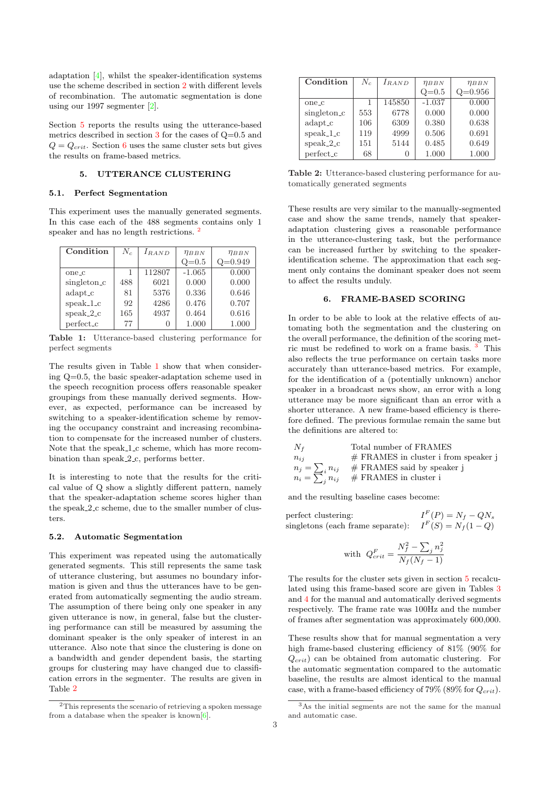<span id="page-2-0"></span>adaptation [4], whilst the speaker-identification systems use the scheme described in section 2 with different levels of recombination. The automatic segmentation is done using our 1997 segmenter [2].

Section 5 r[epo](#page-3-0)rts the results using the utterance-based metrics described in section 3 for t[he](#page-0-0) cases of Q=0.5 and  $Q = Q_{crit}$ . Section 6 uses the same cluster sets but gives the results on frame-based [m](#page-3-0)etrics.

#### 5. UTTERAN[CE](#page-1-0) CLUSTERING

#### 5.1. Perfect Segmentation

This experiment uses the manually generated segments. In this case each of the 488 segments contains only 1 speaker and has no length restrictions. <sup>2</sup>

| Condition         | $N_c$ | $I_{RAND}$ | $\eta_{BBN}$ | $\eta_{BBN}$ |
|-------------------|-------|------------|--------------|--------------|
|                   |       |            | $Q=0.5$      | $Q=0.949$    |
| one <sub>-c</sub> | 1     | 112807     | $-1.065$     | 0.000        |
| singleton_c       | 488   | 6021       | 0.000        | 0.000        |
| adapt_c           | 81    | 5376       | 0.336        | 0.646        |
| $speak_1_c$       | 92    | 4286       | 0.476        | 0.707        |
| $speak_2_c$       | 165   | 4937       | 0.464        | 0.616        |
| perfect_c         | 77    |            | 1.000        | 1.000        |

Table 1: Utterance-based clustering performance for perfect segments

The results given in Table 1 show that when considering Q=0.5, the basic speaker-adaptation scheme used in the speech recognition process offers reasonable speaker groupings from these manually derived segments. However, as expected, performance can be increased by switching to a speaker-identification scheme by removing the occupancy constraint and increasing recombination to compensate for the increased number of clusters. Note that the speak 1 c scheme, which has more recombination than speak 2 c, performs better.

It is interesting to note that the results for the critical value of Q show a slightly different pattern, namely that the speaker-adaptation scheme scores higher than the speak  $2c$  scheme, due to the smaller number of clusters.

#### 5.2. Automatic Segmentation

This experiment was repeated using the automatically generated segments. This still represents the same task of utterance clustering, but assumes no boundary information is given and thus the utterances have to be generated from automatically segmenting the audio stream. The assumption of there being only one speaker in any given utterance is now, in general, false but the clustering performance can still be measured by assuming the dominant speaker is the only speaker of interest in an utterance. Also note that since the clustering is done on a bandwidth and gender dependent basis, the starting groups for clustering may have changed due to classification errors in the segmenter. The results are given in Table 2

| Condition               | $N_c$ | $I_{RAND}$ | $\eta_{BBN}$ | $\eta_{BBN}$ |
|-------------------------|-------|------------|--------------|--------------|
|                         |       |            | $Q=0.5$      | $Q=0.956$    |
| one_c                   |       | 145850     | $-1.037$     | 0.000        |
| singleton <sub>-c</sub> | 553   | 6778       | 0.000        | 0.000        |
| adapt_c                 | 106   | 6309       | 0.380        | 0.638        |
| $speak_1_c$             | 119   | 4999       | 0.506        | 0.691        |
| $speak_2_c$             | 151   | 5144       | 0.485        | 0.649        |
| perfect_c               | 68    |            | 1.000        | 1.000        |

Table 2: Utterance-based clustering performance for automatically generated segments

These results are very similar to the manually-segmented case and show the same trends, namely that speakeradaptation clustering gives a reasonable performance in the utterance-clustering task, but the performance can be increased further by switching to the speakeridentification scheme. The approximation that each segment only contains the dominant speaker does not seem to affect the results unduly.

## 6. FRAME-BASED SCORING

In order to be able to look at the relative effects of automating both the segmentation and the clustering on the overall performance, the definition of the scoring metric must be redefined to work on a frame basis. <sup>3</sup> This also reflects the true performance on certain tasks more accurately than utterance-based metrics. For example, for the identification of a (potentially unknown) anchor speaker in a broadcast news show, an error with a long utterance may be more significant than an error with a shorter utterance. A new frame-based efficiency is therefore defined. The previous formulae remain the same but the definitions are altered to:

| $N_f$                 | Total number of FRAMES                 |
|-----------------------|----------------------------------------|
| $n_{ii}$              | $#$ FRAMES in cluster i from speaker j |
| $n_j = \sum_i n_{ij}$ | $#$ FRAMES said by speaker j           |
| $n_i = \sum_i n_{ij}$ | $\#$ FRAMES in cluster $i$             |
|                       |                                        |

and the resulting baseline cases become:

perfect clustering:  $F(P) = N_f - QN_s$ singletons (each frame separate):  $I^F(S) = N_f(1 - Q)$ 

with 
$$
Q_{crit}^F = \frac{N_f^2 - \sum_j n_j^2}{N_f(N_f - 1)}
$$

The results for the cluster sets given in section 5 recalculated using this frame-based score are given in Tables 3 and 4 for the manual and automatically derived segments respectively. The frame rate was 100Hz and the number of frames after segmentation was approximately 600,000.

These results show that for manual segmentation a ve[ry](#page-3-0) hig[h f](#page-3-0)rame-based clustering efficiency of 81% (90% for  $Q_{crit}$ ) can be obtained from automatic clustering. For the automatic segmentation compared to the automatic baseline, the results are almost identical to the manual case, with a frame-based efficiency of 79% (89% for  $Q_{crit}$ ).

<sup>2</sup>This represents the scenario of retrieving a spoken message from a database when the speaker is known $[6]$ .

<sup>3</sup>As the initial segments are not the same for the manual and automatic case.